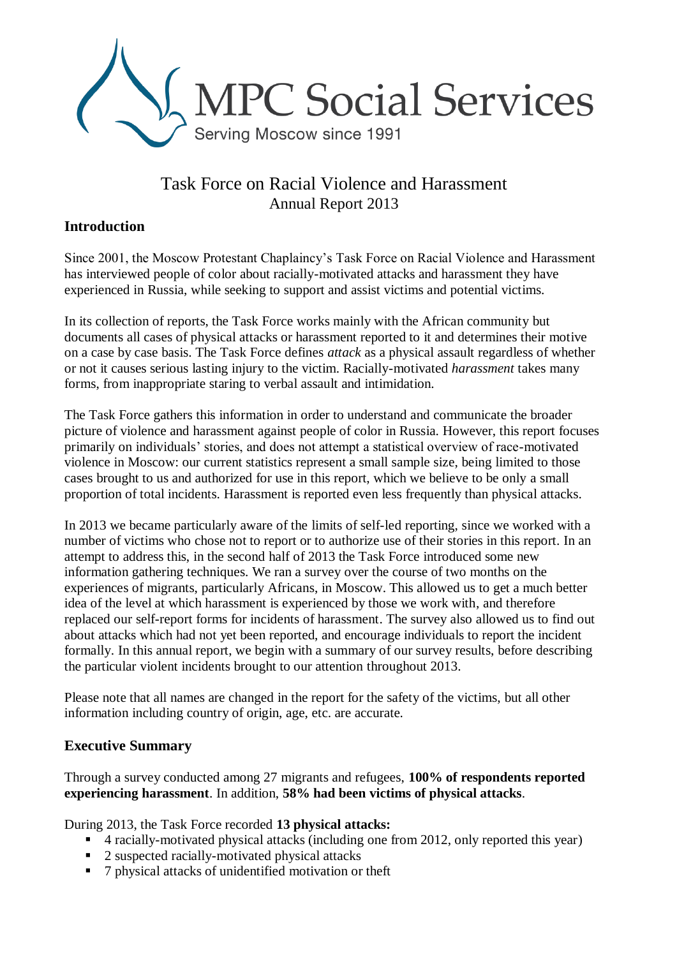

# Task Force on Racial Violence and Harassment Annual Report 2013

### **Introduction**

Since 2001, the Moscow Protestant Chaplaincy's Task Force on Racial Violence and Harassment has interviewed people of color about racially-motivated attacks and harassment they have experienced in Russia, while seeking to support and assist victims and potential victims.

In its collection of reports, the Task Force works mainly with the African community but documents all cases of physical attacks or harassment reported to it and determines their motive on a case by case basis. The Task Force defines *attack* as a physical assault regardless of whether or not it causes serious lasting injury to the victim. Racially-motivated *harassment* takes many forms, from inappropriate staring to verbal assault and intimidation.

The Task Force gathers this information in order to understand and communicate the broader picture of violence and harassment against people of color in Russia. However, this report focuses primarily on individuals' stories, and does not attempt a statistical overview of race-motivated violence in Moscow: our current statistics represent a small sample size, being limited to those cases brought to us and authorized for use in this report, which we believe to be only a small proportion of total incidents. Harassment is reported even less frequently than physical attacks.

In 2013 we became particularly aware of the limits of self-led reporting, since we worked with a number of victims who chose not to report or to authorize use of their stories in this report. In an attempt to address this, in the second half of 2013 the Task Force introduced some new information gathering techniques. We ran a survey over the course of two months on the experiences of migrants, particularly Africans, in Moscow. This allowed us to get a much better idea of the level at which harassment is experienced by those we work with, and therefore replaced our self-report forms for incidents of harassment. The survey also allowed us to find out about attacks which had not yet been reported, and encourage individuals to report the incident formally. In this annual report, we begin with a summary of our survey results, before describing the particular violent incidents brought to our attention throughout 2013.

Please note that all names are changed in the report for the safety of the victims, but all other information including country of origin, age, etc. are accurate.

### **Executive Summary**

Through a survey conducted among 27 migrants and refugees, **100% of respondents reported experiencing harassment**. In addition, **58% had been victims of physical attacks**.

During 2013, the Task Force recorded **13 physical attacks:**

- 4 racially-motivated physical attacks (including one from 2012, only reported this year)
- 2 suspected racially-motivated physical attacks
- 7 physical attacks of unidentified motivation or theft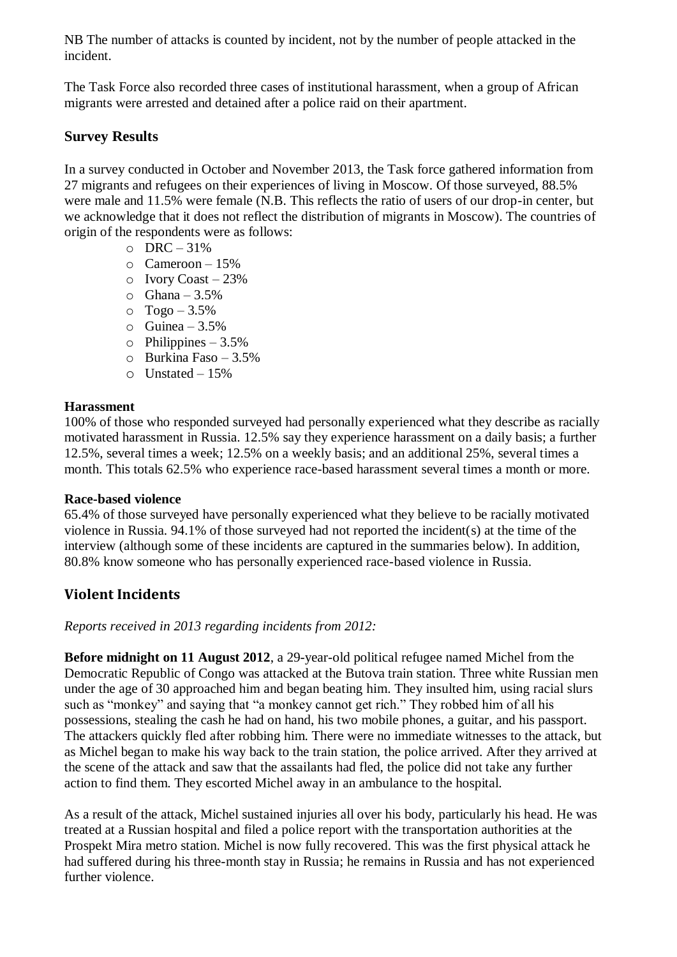NB The number of attacks is counted by incident, not by the number of people attacked in the incident.

The Task Force also recorded three cases of institutional harassment, when a group of African migrants were arrested and detained after a police raid on their apartment.

#### **Survey Results**

In a survey conducted in October and November 2013, the Task force gathered information from 27 migrants and refugees on their experiences of living in Moscow. Of those surveyed, 88.5% were male and 11.5% were female (N.B. This reflects the ratio of users of our drop-in center, but we acknowledge that it does not reflect the distribution of migrants in Moscow). The countries of origin of the respondents were as follows:

- $O$  DRC 31%
- $\circ$  Cameroon 15%
- $\circ$  Ivory Coast 23%
- $\circ$  Ghana 3.5%
- $O$  Togo 3.5%
- $\circ$  Guinea 3.5%
- $\circ$  Philippines 3.5%
- o Burkina Faso 3.5%
- $\circ$  Unstated 15%

#### **Harassment**

100% of those who responded surveyed had personally experienced what they describe as racially motivated harassment in Russia. 12.5% say they experience harassment on a daily basis; a further 12.5%, several times a week; 12.5% on a weekly basis; and an additional 25%, several times a month. This totals 62.5% who experience race-based harassment several times a month or more.

#### **Race-based violence**

65.4% of those surveyed have personally experienced what they believe to be racially motivated violence in Russia. 94.1% of those surveyed had not reported the incident(s) at the time of the interview (although some of these incidents are captured in the summaries below). In addition, 80.8% know someone who has personally experienced race-based violence in Russia.

### **Violent Incidents**

*Reports received in 2013 regarding incidents from 2012:*

**Before midnight on 11 August 2012**, a 29-year-old political refugee named Michel from the Democratic Republic of Congo was attacked at the Butova train station. Three white Russian men under the age of 30 approached him and began beating him. They insulted him, using racial slurs such as "monkey" and saying that "a monkey cannot get rich." They robbed him of all his possessions, stealing the cash he had on hand, his two mobile phones, a guitar, and his passport. The attackers quickly fled after robbing him. There were no immediate witnesses to the attack, but as Michel began to make his way back to the train station, the police arrived. After they arrived at the scene of the attack and saw that the assailants had fled, the police did not take any further action to find them. They escorted Michel away in an ambulance to the hospital.

As a result of the attack, Michel sustained injuries all over his body, particularly his head. He was treated at a Russian hospital and filed a police report with the transportation authorities at the Prospekt Mira metro station. Michel is now fully recovered. This was the first physical attack he had suffered during his three-month stay in Russia; he remains in Russia and has not experienced further violence.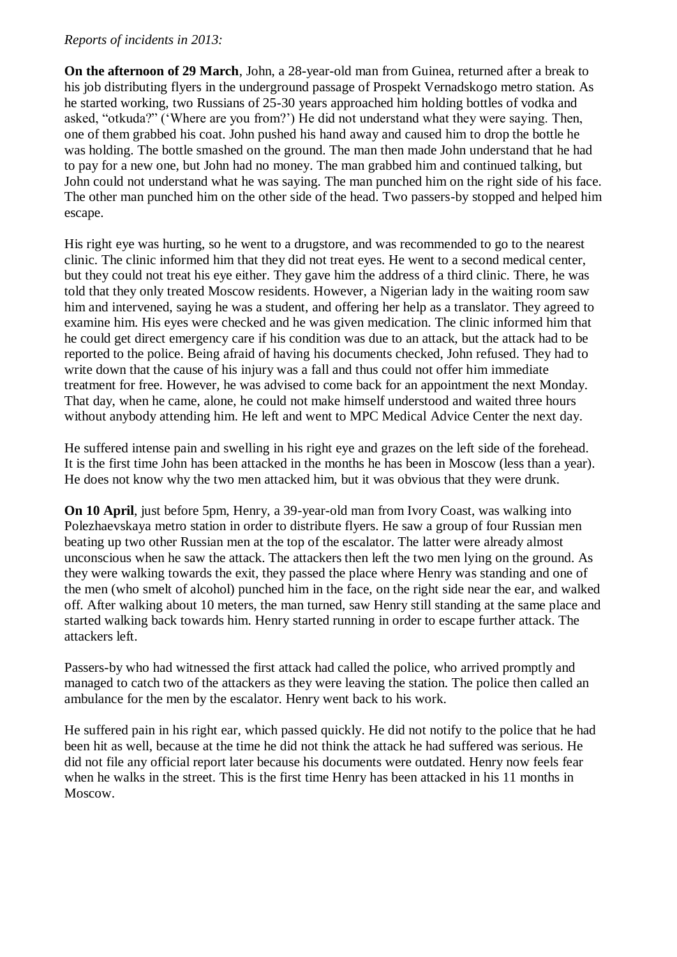#### *Reports of incidents in 2013:*

**On the afternoon of 29 March**, John, a 28-year-old man from Guinea, returned after a break to his job distributing flyers in the underground passage of Prospekt Vernadskogo metro station. As he started working, two Russians of 25-30 years approached him holding bottles of vodka and asked, "otkuda?" ('Where are you from?') He did not understand what they were saying. Then, one of them grabbed his coat. John pushed his hand away and caused him to drop the bottle he was holding. The bottle smashed on the ground. The man then made John understand that he had to pay for a new one, but John had no money. The man grabbed him and continued talking, but John could not understand what he was saying. The man punched him on the right side of his face. The other man punched him on the other side of the head. Two passers-by stopped and helped him escape.

His right eye was hurting, so he went to a drugstore, and was recommended to go to the nearest clinic. The clinic informed him that they did not treat eyes. He went to a second medical center, but they could not treat his eye either. They gave him the address of a third clinic. There, he was told that they only treated Moscow residents. However, a Nigerian lady in the waiting room saw him and intervened, saying he was a student, and offering her help as a translator. They agreed to examine him. His eyes were checked and he was given medication. The clinic informed him that he could get direct emergency care if his condition was due to an attack, but the attack had to be reported to the police. Being afraid of having his documents checked, John refused. They had to write down that the cause of his injury was a fall and thus could not offer him immediate treatment for free. However, he was advised to come back for an appointment the next Monday. That day, when he came, alone, he could not make himself understood and waited three hours without anybody attending him. He left and went to MPC Medical Advice Center the next day.

He suffered intense pain and swelling in his right eye and grazes on the left side of the forehead. It is the first time John has been attacked in the months he has been in Moscow (less than a year). He does not know why the two men attacked him, but it was obvious that they were drunk.

**On 10 April**, just before 5pm, Henry, a 39-year-old man from Ivory Coast, was walking into Polezhaevskaya metro station in order to distribute flyers. He saw a group of four Russian men beating up two other Russian men at the top of the escalator. The latter were already almost unconscious when he saw the attack. The attackers then left the two men lying on the ground. As they were walking towards the exit, they passed the place where Henry was standing and one of the men (who smelt of alcohol) punched him in the face, on the right side near the ear, and walked off. After walking about 10 meters, the man turned, saw Henry still standing at the same place and started walking back towards him. Henry started running in order to escape further attack. The attackers left.

Passers-by who had witnessed the first attack had called the police, who arrived promptly and managed to catch two of the attackers as they were leaving the station. The police then called an ambulance for the men by the escalator. Henry went back to his work.

He suffered pain in his right ear, which passed quickly. He did not notify to the police that he had been hit as well, because at the time he did not think the attack he had suffered was serious. He did not file any official report later because his documents were outdated. Henry now feels fear when he walks in the street. This is the first time Henry has been attacked in his 11 months in Moscow.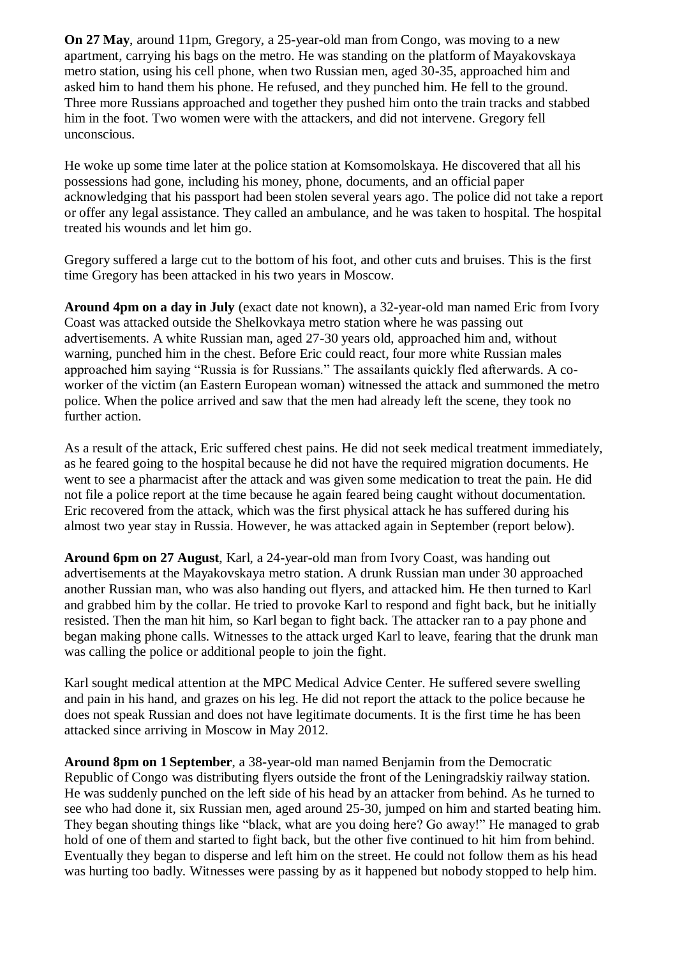**On 27 May**, around 11pm, Gregory, a 25-year-old man from Congo, was moving to a new apartment, carrying his bags on the metro. He was standing on the platform of Mayakovskaya metro station, using his cell phone, when two Russian men, aged 30-35, approached him and asked him to hand them his phone. He refused, and they punched him. He fell to the ground. Three more Russians approached and together they pushed him onto the train tracks and stabbed him in the foot. Two women were with the attackers, and did not intervene. Gregory fell unconscious.

He woke up some time later at the police station at Komsomolskaya. He discovered that all his possessions had gone, including his money, phone, documents, and an official paper acknowledging that his passport had been stolen several years ago. The police did not take a report or offer any legal assistance. They called an ambulance, and he was taken to hospital. The hospital treated his wounds and let him go.

Gregory suffered a large cut to the bottom of his foot, and other cuts and bruises. This is the first time Gregory has been attacked in his two years in Moscow.

**Around 4pm on a day in July** (exact date not known), a 32-year-old man named Eric from Ivory Coast was attacked outside the Shelkovkaya metro station where he was passing out advertisements. A white Russian man, aged 27-30 years old, approached him and, without warning, punched him in the chest. Before Eric could react, four more white Russian males approached him saying "Russia is for Russians." The assailants quickly fled afterwards. A coworker of the victim (an Eastern European woman) witnessed the attack and summoned the metro police. When the police arrived and saw that the men had already left the scene, they took no further action.

As a result of the attack, Eric suffered chest pains. He did not seek medical treatment immediately, as he feared going to the hospital because he did not have the required migration documents. He went to see a pharmacist after the attack and was given some medication to treat the pain. He did not file a police report at the time because he again feared being caught without documentation. Eric recovered from the attack, which was the first physical attack he has suffered during his almost two year stay in Russia. However, he was attacked again in September (report below).

**Around 6pm on 27 August**, Karl, a 24-year-old man from Ivory Coast, was handing out advertisements at the Mayakovskaya metro station. A drunk Russian man under 30 approached another Russian man, who was also handing out flyers, and attacked him. He then turned to Karl and grabbed him by the collar. He tried to provoke Karl to respond and fight back, but he initially resisted. Then the man hit him, so Karl began to fight back. The attacker ran to a pay phone and began making phone calls. Witnesses to the attack urged Karl to leave, fearing that the drunk man was calling the police or additional people to join the fight.

Karl sought medical attention at the MPC Medical Advice Center. He suffered severe swelling and pain in his hand, and grazes on his leg. He did not report the attack to the police because he does not speak Russian and does not have legitimate documents. It is the first time he has been attacked since arriving in Moscow in May 2012.

**Around 8pm on 1 September**, a 38-year-old man named Benjamin from the Democratic Republic of Congo was distributing flyers outside the front of the Leningradskiy railway station. He was suddenly punched on the left side of his head by an attacker from behind. As he turned to see who had done it, six Russian men, aged around 25-30, jumped on him and started beating him. They began shouting things like "black, what are you doing here? Go away!" He managed to grab hold of one of them and started to fight back, but the other five continued to hit him from behind. Eventually they began to disperse and left him on the street. He could not follow them as his head was hurting too badly. Witnesses were passing by as it happened but nobody stopped to help him.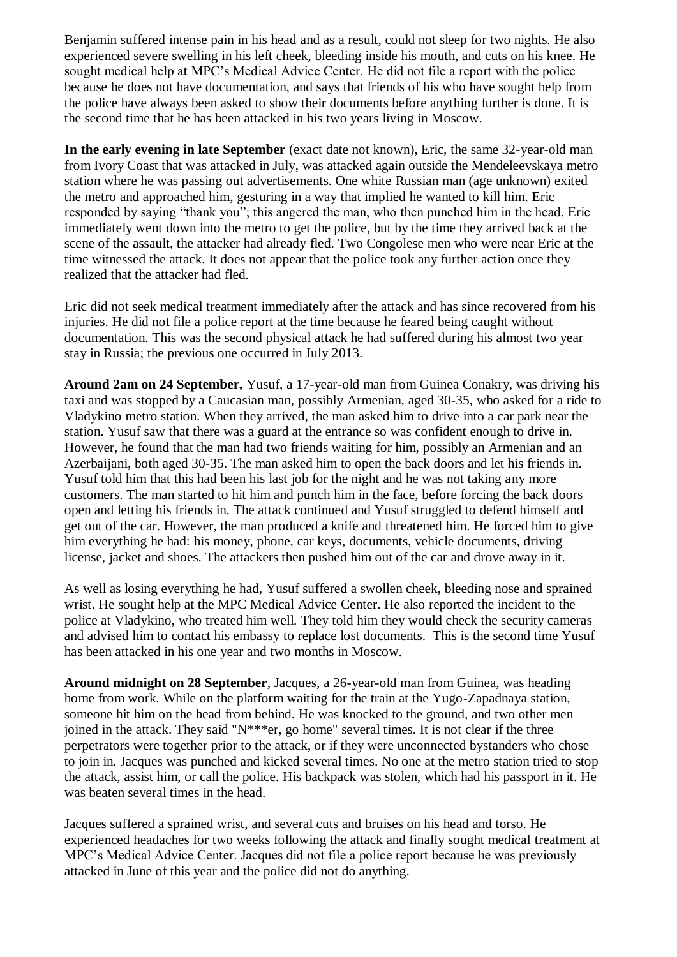Benjamin suffered intense pain in his head and as a result, could not sleep for two nights. He also experienced severe swelling in his left cheek, bleeding inside his mouth, and cuts on his knee. He sought medical help at MPC's Medical Advice Center. He did not file a report with the police because he does not have documentation, and says that friends of his who have sought help from the police have always been asked to show their documents before anything further is done. It is the second time that he has been attacked in his two years living in Moscow.

**In the early evening in late September** (exact date not known), Eric, the same 32-year-old man from Ivory Coast that was attacked in July, was attacked again outside the Mendeleevskaya metro station where he was passing out advertisements. One white Russian man (age unknown) exited the metro and approached him, gesturing in a way that implied he wanted to kill him. Eric responded by saying "thank you"; this angered the man, who then punched him in the head. Eric immediately went down into the metro to get the police, but by the time they arrived back at the scene of the assault, the attacker had already fled. Two Congolese men who were near Eric at the time witnessed the attack. It does not appear that the police took any further action once they realized that the attacker had fled.

Eric did not seek medical treatment immediately after the attack and has since recovered from his injuries. He did not file a police report at the time because he feared being caught without documentation. This was the second physical attack he had suffered during his almost two year stay in Russia; the previous one occurred in July 2013.

**Around 2am on 24 September,** Yusuf, a 17-year-old man from Guinea Conakry, was driving his taxi and was stopped by a Caucasian man, possibly Armenian, aged 30-35, who asked for a ride to Vladykino metro station. When they arrived, the man asked him to drive into a car park near the station. Yusuf saw that there was a guard at the entrance so was confident enough to drive in. However, he found that the man had two friends waiting for him, possibly an Armenian and an Azerbaijani, both aged 30-35. The man asked him to open the back doors and let his friends in. Yusuf told him that this had been his last job for the night and he was not taking any more customers. The man started to hit him and punch him in the face, before forcing the back doors open and letting his friends in. The attack continued and Yusuf struggled to defend himself and get out of the car. However, the man produced a knife and threatened him. He forced him to give him everything he had: his money, phone, car keys, documents, vehicle documents, driving license, jacket and shoes. The attackers then pushed him out of the car and drove away in it.

As well as losing everything he had, Yusuf suffered a swollen cheek, bleeding nose and sprained wrist. He sought help at the MPC Medical Advice Center. He also reported the incident to the police at Vladykino, who treated him well. They told him they would check the security cameras and advised him to contact his embassy to replace lost documents. This is the second time Yusuf has been attacked in his one year and two months in Moscow.

**Around midnight on 28 September**, Jacques, a 26-year-old man from Guinea, was heading home from work. While on the platform waiting for the train at the Yugo-Zapadnaya station, someone hit him on the head from behind. He was knocked to the ground, and two other men joined in the attack. They said "N\*\*\*er, go home" several times. It is not clear if the three perpetrators were together prior to the attack, or if they were unconnected bystanders who chose to join in. Jacques was punched and kicked several times. No one at the metro station tried to stop the attack, assist him, or call the police. His backpack was stolen, which had his passport in it. He was beaten several times in the head.

Jacques suffered a sprained wrist, and several cuts and bruises on his head and torso. He experienced headaches for two weeks following the attack and finally sought medical treatment at MPC's Medical Advice Center. Jacques did not file a police report because he was previously attacked in June of this year and the police did not do anything.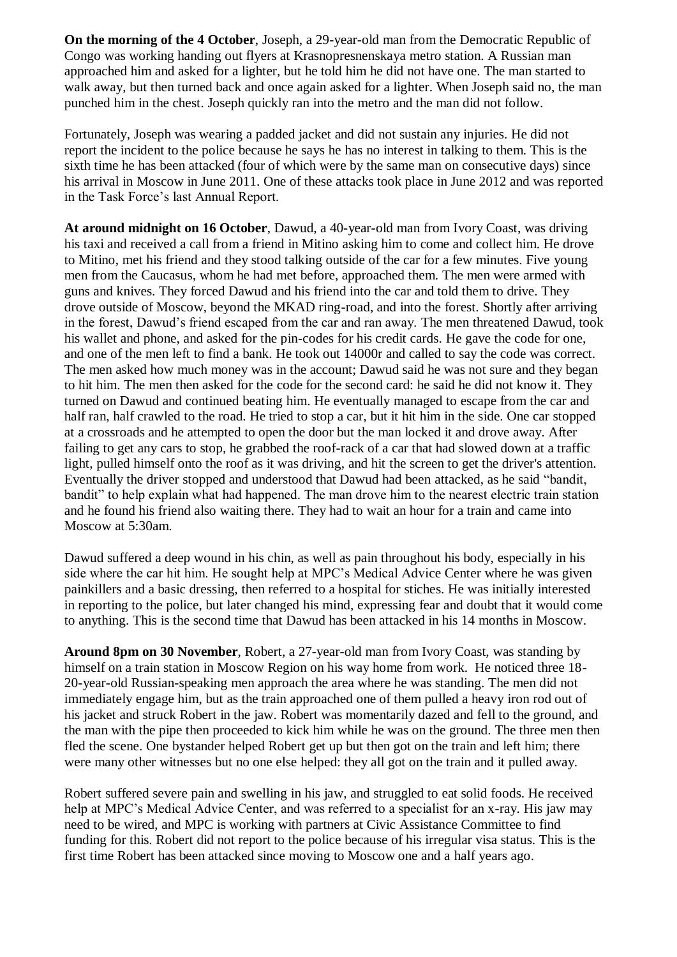**On the morning of the 4 October**, Joseph, a 29-year-old man from the Democratic Republic of Congo was working handing out flyers at Krasnopresnenskaya metro station. A Russian man approached him and asked for a lighter, but he told him he did not have one. The man started to walk away, but then turned back and once again asked for a lighter. When Joseph said no, the man punched him in the chest. Joseph quickly ran into the metro and the man did not follow.

Fortunately, Joseph was wearing a padded jacket and did not sustain any injuries. He did not report the incident to the police because he says he has no interest in talking to them. This is the sixth time he has been attacked (four of which were by the same man on consecutive days) since his arrival in Moscow in June 2011. One of these attacks took place in June 2012 and was reported in the Task Force's last Annual Report.

**At around midnight on 16 October**, Dawud, a 40-year-old man from Ivory Coast, was driving his taxi and received a call from a friend in Mitino asking him to come and collect him. He drove to Mitino, met his friend and they stood talking outside of the car for a few minutes. Five young men from the Caucasus, whom he had met before, approached them. The men were armed with guns and knives. They forced Dawud and his friend into the car and told them to drive. They drove outside of Moscow, beyond the MKAD ring-road, and into the forest. Shortly after arriving in the forest, Dawud's friend escaped from the car and ran away. The men threatened Dawud, took his wallet and phone, and asked for the pin-codes for his credit cards. He gave the code for one, and one of the men left to find a bank. He took out 14000r and called to say the code was correct. The men asked how much money was in the account; Dawud said he was not sure and they began to hit him. The men then asked for the code for the second card: he said he did not know it. They turned on Dawud and continued beating him. He eventually managed to escape from the car and half ran, half crawled to the road. He tried to stop a car, but it hit him in the side. One car stopped at a crossroads and he attempted to open the door but the man locked it and drove away. After failing to get any cars to stop, he grabbed the roof-rack of a car that had slowed down at a traffic light, pulled himself onto the roof as it was driving, and hit the screen to get the driver's attention. Eventually the driver stopped and understood that Dawud had been attacked, as he said "bandit, bandit" to help explain what had happened. The man drove him to the nearest electric train station and he found his friend also waiting there. They had to wait an hour for a train and came into Moscow at 5:30am.

Dawud suffered a deep wound in his chin, as well as pain throughout his body, especially in his side where the car hit him. He sought help at MPC's Medical Advice Center where he was given painkillers and a basic dressing, then referred to a hospital for stiches. He was initially interested in reporting to the police, but later changed his mind, expressing fear and doubt that it would come to anything. This is the second time that Dawud has been attacked in his 14 months in Moscow.

**Around 8pm on 30 November**, Robert, a 27-year-old man from Ivory Coast, was standing by himself on a train station in Moscow Region on his way home from work. He noticed three 18- 20-year-old Russian-speaking men approach the area where he was standing. The men did not immediately engage him, but as the train approached one of them pulled a heavy iron rod out of his jacket and struck Robert in the jaw. Robert was momentarily dazed and fell to the ground, and the man with the pipe then proceeded to kick him while he was on the ground. The three men then fled the scene. One bystander helped Robert get up but then got on the train and left him; there were many other witnesses but no one else helped: they all got on the train and it pulled away.

Robert suffered severe pain and swelling in his jaw, and struggled to eat solid foods. He received help at MPC's Medical Advice Center, and was referred to a specialist for an x-ray. His jaw may need to be wired, and MPC is working with partners at Civic Assistance Committee to find funding for this. Robert did not report to the police because of his irregular visa status. This is the first time Robert has been attacked since moving to Moscow one and a half years ago.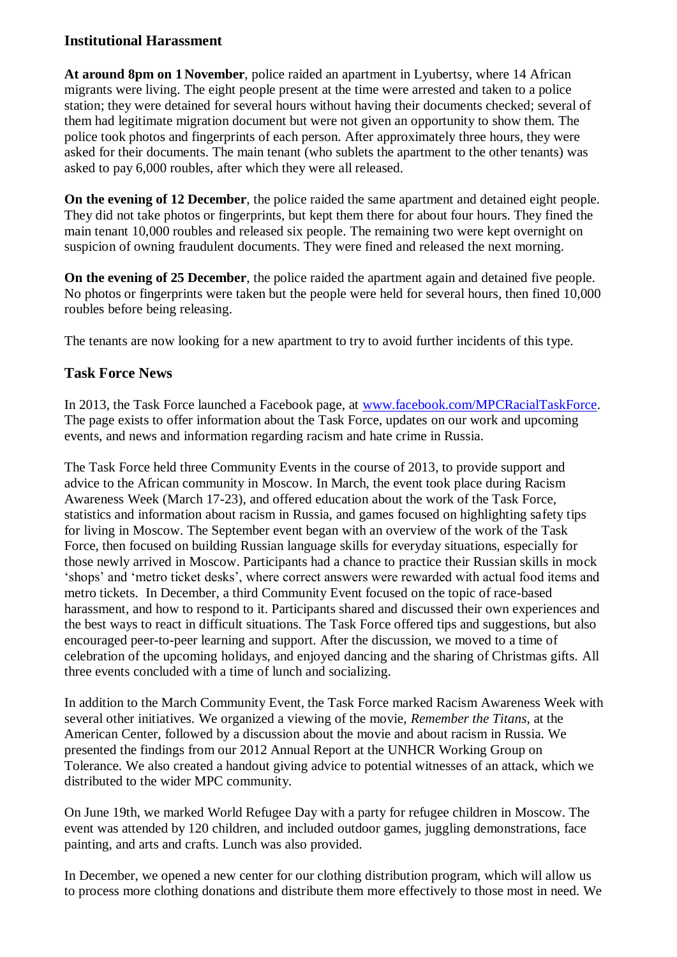#### **Institutional Harassment**

**At around 8pm on 1 November**, police raided an apartment in Lyubertsy, where 14 African migrants were living. The eight people present at the time were arrested and taken to a police station; they were detained for several hours without having their documents checked; several of them had legitimate migration document but were not given an opportunity to show them. The police took photos and fingerprints of each person. After approximately three hours, they were asked for their documents. The main tenant (who sublets the apartment to the other tenants) was asked to pay 6,000 roubles, after which they were all released.

**On the evening of 12 December**, the police raided the same apartment and detained eight people. They did not take photos or fingerprints, but kept them there for about four hours. They fined the main tenant 10,000 roubles and released six people. The remaining two were kept overnight on suspicion of owning fraudulent documents. They were fined and released the next morning.

**On the evening of 25 December**, the police raided the apartment again and detained five people. No photos or fingerprints were taken but the people were held for several hours, then fined 10,000 roubles before being releasing.

The tenants are now looking for a new apartment to try to avoid further incidents of this type.

## **Task Force News**

In 2013, the Task Force launched a Facebook page, at [www.facebook.com/MPCRacialTaskForce.](http://www.facebook.com/MPCRacialTaskForce) The page exists to offer information about the Task Force, updates on our work and upcoming events, and news and information regarding racism and hate crime in Russia.

The Task Force held three Community Events in the course of 2013, to provide support and advice to the African community in Moscow. In March, the event took place during Racism Awareness Week (March 17-23), and offered education about the work of the Task Force, statistics and information about racism in Russia, and games focused on highlighting safety tips for living in Moscow. The September event began with an overview of the work of the Task Force, then focused on building Russian language skills for everyday situations, especially for those newly arrived in Moscow. Participants had a chance to practice their Russian skills in mock 'shops' and 'metro ticket desks', where correct answers were rewarded with actual food items and metro tickets. In December, a third Community Event focused on the topic of race-based harassment, and how to respond to it. Participants shared and discussed their own experiences and the best ways to react in difficult situations. The Task Force offered tips and suggestions, but also encouraged peer-to-peer learning and support. After the discussion, we moved to a time of celebration of the upcoming holidays, and enjoyed dancing and the sharing of Christmas gifts. All three events concluded with a time of lunch and socializing.

In addition to the March Community Event, the Task Force marked Racism Awareness Week with several other initiatives. We organized a viewing of the movie, *Remember the Titans*, at the American Center, followed by a discussion about the movie and about racism in Russia. We presented the findings from our 2012 Annual Report at the UNHCR Working Group on Tolerance. We also created a handout giving advice to potential witnesses of an attack, which we distributed to the wider MPC community.

On June 19th, we marked World Refugee Day with a party for refugee children in Moscow. The event was attended by 120 children, and included outdoor games, juggling demonstrations, face painting, and arts and crafts. Lunch was also provided.

In December, we opened a new center for our clothing distribution program, which will allow us to process more clothing donations and distribute them more effectively to those most in need. We